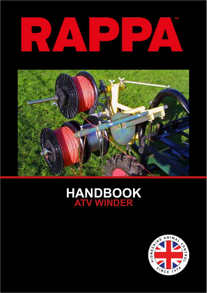# D





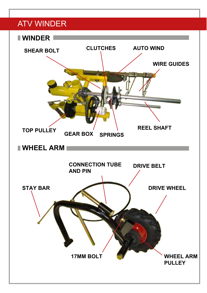## ATV WINDER

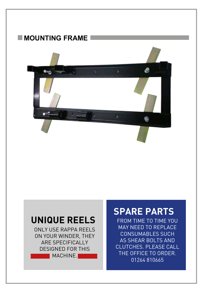



## **UNIQUE REELS**

ONLY USE RAPPA REELS ON YOUR WINDER, THEY ARE SPECIFICALLY DESIGNED FOR THIS MACHINE.

**SPARE PARTS**

FROM TIME TO TIME YOU MAY NEED TO REPLACE CONSUMABLES SUCH AS SHEAR BOLTS AND CLUTCHES. PLEASE CALL THE OFFICE TO ORDER. 01264 810665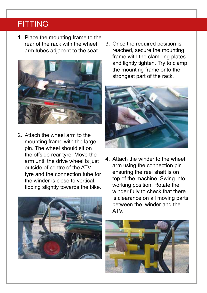## FITTING

1. Place the mounting frame to the rear of the rack with the wheel arm tubes adjacent to the seat.



2. Attach the wheel arm to the mounting frame with the large pin. The wheel should sit on the offside rear tyre. Move the arm until the drive wheel is just outside of centre of the ATV tyre and the connection tube for the winder is close to vertical, tipping slightly towards the bike.



3. Once the required position is reached, secure the mounting frame with the clamping plates and lightly tighten. Try to clamp the mounting frame onto the strongest part of the rack.



4. Attach the winder to the wheel arm using the connection pin ensuring the reel shaft is on top of the machine. Swing into working position. Rotate the winder fully to check that there is clearance on all moving parts between the winder and the ATV.

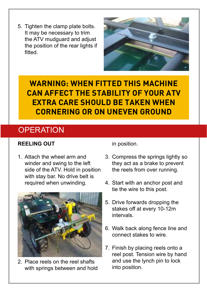5. Tighten the clamp plate bolts. It may be necessary to trim the ATV mudguard and adjust the position of the rear lights if fitted.



**WARNING: WHEN FITTED THIS MACHINE CAN AFFECT THE STABILITY OF YOUR ATV EXTRA CARE SHOULD BE TAKEN WHEN CORNERING OR ON UNEVEN GROUND**

## **OPERATION**

#### **REELING OUT**

1. Attach the wheel arm and winder and swing to the left side of the ATV. Hold in position with stay bar. No drive belt is required when unwinding.



2. Place reels on the reel shafts with springs between and hold in position.

- 3. Compress the springs lightly so they act as a brake to prevent the reels from over running.
- 4. Start with an anchor post and tie the wire to this post.
- 5. Drive forwards dropping the stakes off at every 10-12m intervals.
- 6. Walk back along fence line and connect stakes to wire.
- 7. Finish by placing reels onto a reel post. Tension wire by hand and use the lynch pin to lock into position.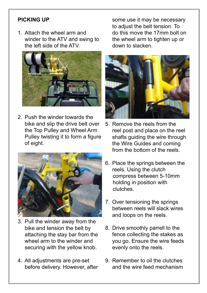#### **PICKING UP**

1. Attach the wheel arm and winder to the ATV and swing to the left side of the ATV.



2. Push the winder towards the bike and slip the drive belt over the Top Pulley and Wheel Arm Pulley twisting it to form a figure of eight.



- 3. Pull the winder away from the bike and tension the belt by attaching the stay bar from the wheel arm to the winder and securing with the yellow knob.
- 4. All adjustments are pre-set before delivery. However, after

some use it may be necessary to adjust the belt tension. To do this move the 17mm bolt on the wheel arm to tighten up or down to slacken.



- 5. Remove the reels from the reel post and place on the reel shafts guiding the wire through the Wire Guides and coming from the bottom of the reels.
- 6. Place the springs between the reels. Using the clutch compress between 5-10mm holding in position with clutches.
- 7. Over tensioning the springs between reels will slack wires and loops on the reels.
- 8. Drive smoothly parrell to the fence collecting the stakes as you go. Ensure the wire feeds evenly onto the reels.
- 9. Remember to oil the clutches and the wire feed mechanism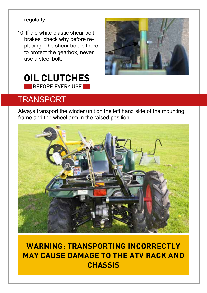#### regularly.

10. If the white plastic shear bolt brakes, check why before replacing. The shear bolt is there to protect the gearbox, never use a steel bolt.





# TRANSPORT

Always transport the winder unit on the left hand side of the mounting frame and the wheel arm in the raised position.



## **WARNING: TRANSPORTING INCORRECTLY MAY CAUSE DAMAGE TO THE ATV RACK AND CHASSIS**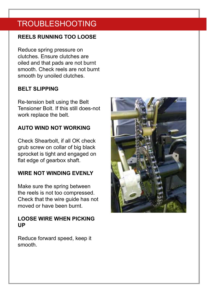# TROUBLESHOOTING

#### **REELS RUNNING TOO LOOSE**

Reduce spring pressure on clutches. Ensure clutches are oiled and that pads are not burnt smooth. Check reels are not burnt smooth by unoiled clutches.

### **BELT SLIPPING**

Re-tension belt using the Belt Tensioner Bolt. If this still does-not work replace the belt.

#### **AUTO WIND NOT WORKING**

Check Shearbolt, if all OK check grub screw on collar of big black sprocket is tight and engaged on flat edge of gearbox shaft.

#### **WIRE NOT WINDING EVENLY**

Make sure the spring between the reels is not too compressed. Check that the wire guide has not moved or have been burnt.

#### **LOOSE WIRE WHEN PICKING UP**

Reduce forward speed, keep it smooth.

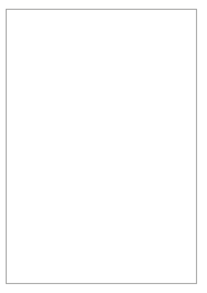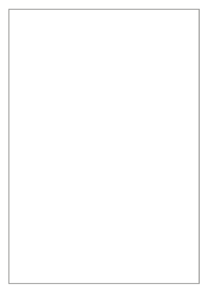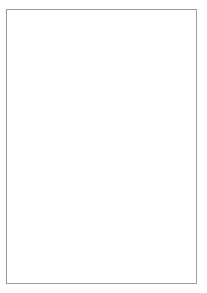